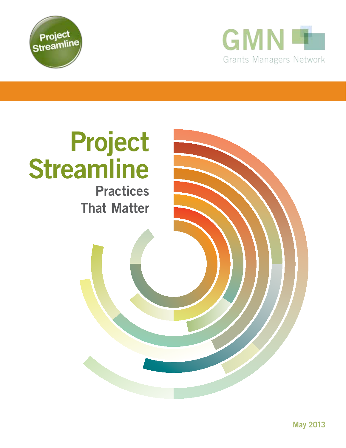



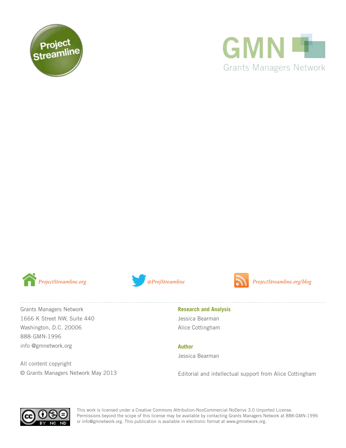





Grants Managers Network 1666 K Street NW, Suite 440 Washington, D.C. 20006 888-GMN-1996 info @gmnetwork.org

All content copyright © Grants Managers Network May 2013



ProjectStreamline.org *@ProjStreamline @ProjStreamline ProjectStreamline.org/blog* 

**Research and Analysis**  Jessica Bearman Alice Cottingham

**Author**

Jessica Bearman

Editorial and intellectual support from Alice Cottingham



This work is licensed under a Creative Commons Attribution-NonCommercial-NoDerivs 3.0 Unported License. Permissions beyond the scope of this license may be available by contacting Grants Managers Network at 888-GMN-1996 or info@gmnetwork.org. This publication is available in electronic format at www.gmnetwork.org.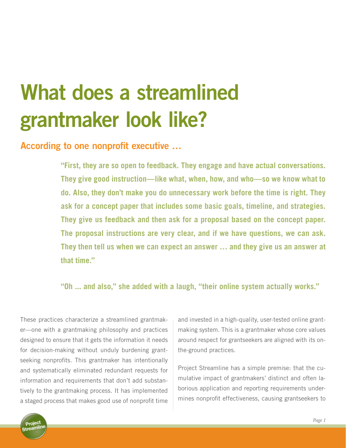# **What does a streamlined grantmaker look like?**

### **According to one nonprofit executive …**

**"First, they are so open to feedback. They engage and have actual conversations. They give good instruction—like what, when, how, and who—so we know what to do. Also, they don't make you do unnecessary work before the time is right. They ask for a concept paper that includes some basic goals, timeline, and strategies. They give us feedback and then ask for a proposal based on the concept paper. The proposal instructions are very clear, and if we have questions, we can ask. They then tell us when we can expect an answer … and they give us an answer at that time."** 

#### **"Oh ... and also," she added with a laugh, "their online system actually works."**

These practices characterize a streamlined grantmaker—one with a grantmaking philosophy and practices designed to ensure that it gets the information it needs for decision-making without unduly burdening grantseeking nonprofits. This grantmaker has intentionally and systematically eliminated redundant requests for information and requirements that don't add substantively to the grantmaking process. It has implemented a staged process that makes good use of nonprofit time and invested in a high-quality, user-tested online grantmaking system. This is a grantmaker whose core values around respect for grantseekers are aligned with its onthe-ground practices.

Project Streamline has a simple premise: that the cumulative impact of grantmakers' distinct and often laborious application and reporting requirements undermines nonprofit effectiveness, causing grantseekers to

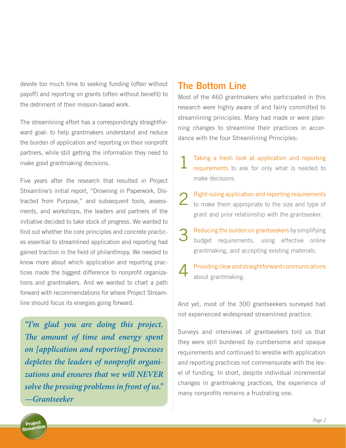devote too much time to seeking funding (often without payoff) and reporting on grants (often without benefit) to the detriment of their mission-based work.

The streamlining effort has a correspondingly straightforward goal: to help grantmakers understand and reduce the burden of application and reporting on their nonprofit partners, while still getting the information they need to make good grantmaking decisions.

Five years after the research that resulted in Project Streamline's initial report, "Drowning in Paperwork*,* Distracted from Purpose," and subsequent tools, assessments, and workshops, the leaders and partners of the initiative decided to take stock of progress. We wanted to find out whether the core principles and concrete practices essential to streamlined application and reporting had gained traction in the field of philanthropy. We needed to know more about which application and reporting practices made the biggest difference to nonprofit organizations and grantmakers. And we wanted to chart a path forward with recommendations for where Project Streamline should focus its energies going forward.

*"I'm glad you are doing this project. The amount of time and energy spent on [application and reporting] processes depletes the leaders of nonprofit organizations and ensures that we will NEVER solve the pressing problems in front of us." —Grantseeker*

### **The Bottom Line**

Most of the 460 grantmakers who participated in this research were highly aware of and fairly committed to streamlining principles. Many had made or were planning changes to streamline their practices in accordance with the four Streamlining Principles:

- 1 Taking a fresh look at application and reporting requirements to ask for only what is needed to make decisions.
- 2 Right-sizing application and reporting requirements to make them appropriate to the size and type of grant and prior relationship with the grantseeker.
- 3 Reducing the burden on grantseekers by simplifying budget requirements, using effective online grantmaking, and accepting existing materials.
- 4 Providing clear and straightforward communications about grantmaking.

And yet, most of the 300 grantseekers surveyed had not experienced widespread streamlined practice.

Surveys and interviews of grantseekers told us that they were still burdened by cumbersome and opaque requirements and continued to wrestle with application and reporting practices not commensurate with the level of funding. In short, despite individual incremental changes in grantmaking practices, the experience of many nonprofits remains a frustrating one.

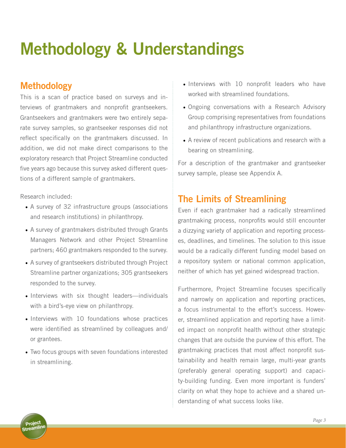# **Methodology & Understandings**

## **Methodology**

This is a scan of practice based on surveys and interviews of grantmakers and nonprofit grantseekers. Grantseekers and grantmakers were two entirely separate survey samples, so grantseeker responses did not reflect specifically on the grantmakers discussed. In addition, we did not make direct comparisons to the exploratory research that Project Streamline conducted five years ago because this survey asked different questions of a different sample of grantmakers.

Research included:

- A survey of 32 infrastructure groups (associations and research institutions) in philanthropy.
- A survey of grantmakers distributed through Grants Managers Network and other Project Streamline partners; 460 grantmakers responded to the survey.
- A survey of grantseekers distributed through Project Streamline partner organizations; 305 grantseekers responded to the survey.
- Interviews with six thought leaders—individuals with a bird's-eye view on philanthropy.
- Interviews with 10 foundations whose practices were identified as streamlined by colleagues and/ or grantees.
- Two focus groups with seven foundations interested in streamlining.
- Interviews with 10 nonprofit leaders who have worked with streamlined foundations.
- • Ongoing conversations with a Research Advisory Group comprising representatives from foundations and philanthropy infrastructure organizations.
- A review of recent publications and research with a bearing on streamlining.

For a description of the grantmaker and grantseeker survey sample, please see Appendix A.

## **The Limits of Streamlining**

Even if each grantmaker had a radically streamlined grantmaking process, nonprofits would still encounter a dizzying variety of application and reporting processes, deadlines, and timelines. The solution to this issue would be a radically different funding model based on a repository system or national common application, neither of which has yet gained widespread traction.

Furthermore, Project Streamline focuses specifically and narrowly on application and reporting practices, a focus instrumental to the effort's success. However, streamlined application and reporting have a limited impact on nonprofit health without other strategic changes that are outside the purview of this effort. The grantmaking practices that most affect nonprofit sustainability and health remain large, multi-year grants (preferably general operating support) and capacity-building funding. Even more important is funders' clarity on what they hope to achieve and a shared understanding of what success looks like.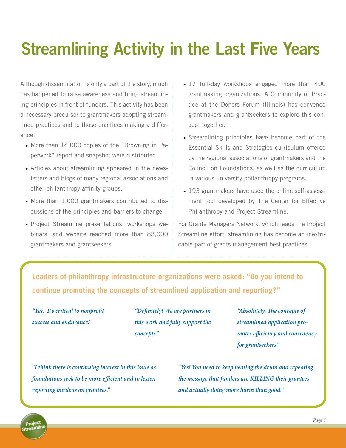# **Streamlining Activity in the Last Five Years**

Although dissemination is only a part of the story, much has happened to raise awareness and bring streamlining principles in front of funders. This activity has been a necessary precursor to grantmakers adopting streamlined practices and to those practices making a difference.

- More than 14,000 copies of the "Drowning in Paperwork" report and snapshot were distributed.
- Articles about streamlining appeared in the newsletters and blogs of many regional associations and other philanthropy affinity groups.
- More than 1,000 grantmakers contributed to discussions of the principles and barriers to change.
- Project Streamline presentations, workshops webinars, and website reached more than 83,000 grantmakers and grantseekers.
- 17 full-day workshops engaged more than 400 grantmaking organizations. A Community of Practice at the Donors Forum (Illinois) has convened grantmakers and grantseekers to explore this concept together.
- Streamlining principles have become part of the Essential Skills and Strategies curriculum offered by the regional associations of grantmakers and the Council on Foundations, as well as the curriculum in various university philanthropy programs.
- 193 grantmakers have used the online self-assessment tool developed by The Center for Effective Philanthropy and Project Streamline.

For Grants Managers Network, which leads the Project Streamline effort, streamlining has become an inextricable part of grants management best practices.

**Leaders of philanthropy infrastructure organizations were asked: "Do you intend to continue promoting the concepts of streamlined application and reporting?"**

*"Yes. It's critical to nonprofit success and endurance."*

*"Definitely! We are partners in this work and fully support the concepts."*

*"Absolutely. The concepts of streamlined application promotes efficiency and consistency for grantseekers."*

*"I think there is continuing interest in this issue as foundations seek to be more efficient and to lessen reporting burdens on grantees."*

*"Yes! You need to keep beating the drum and repeating the message that funders are KILLING their grantees and actually doing more harm than good."*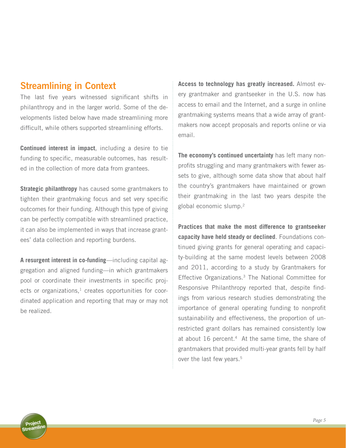### **Streamlining in Context**

The last five years witnessed significant shifts in philanthropy and in the larger world. Some of the developments listed below have made streamlining more difficult, while others supported streamlining efforts.

**Continued interest in impact**, including a desire to tie funding to specific, measurable outcomes, has resulted in the collection of more data from grantees.

**Strategic philanthropy** has caused some grantmakers to tighten their grantmaking focus and set very specific outcomes for their funding. Although this type of giving can be perfectly compatible with streamlined practice, it can also be implemented in ways that increase grantees' data collection and reporting burdens.

**A resurgent interest in co-funding**—including capital aggregation and aligned funding—in which grantmakers pool or coordinate their investments in specific projects or organizations, $<sup>1</sup>$  creates opportunities for coor-</sup> dinated application and reporting that may or may not be realized.

**Access to technology has greatly increased.** Almost every grantmaker and grantseeker in the U.S. now has access to email and the Internet, and a surge in online grantmaking systems means that a wide array of grantmakers now accept proposals and reports online or via email.

**The economy's continued uncertainty** has left many nonprofits struggling and many grantmakers with fewer assets to give, although some data show that about half the country's grantmakers have maintained or grown their grantmaking in the last two years despite the global economic slump.2

**Practices that make the most difference to grantseeker capacity have held steady or declined**. Foundations continued giving grants for general operating and capacity-building at the same modest levels between 2008 and 2011, according to a study by Grantmakers for Effective Organizations.<sup>3</sup> The National Committee for Responsive Philanthropy reported that, despite findings from various research studies demonstrating the importance of general operating funding to nonprofit sustainability and effectiveness, the proportion of unrestricted grant dollars has remained consistently low at about 16 percent.<sup>4</sup> At the same time, the share of grantmakers that provided multi-year grants fell by half over the last few years.<sup>5</sup>

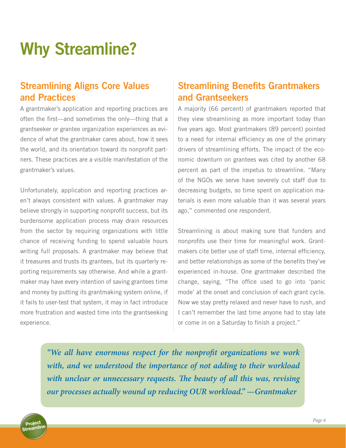# **Why Streamline?**

## **Streamlining Aligns Core Values and Practices**

A grantmaker's application and reporting practices are often the first—and sometimes the only—thing that a grantseeker or grantee organization experiences as evidence of what the grantmaker cares about, how it sees the world, and its orientation toward its nonprofit partners. These practices are a visible manifestation of the grantmaker's values.

Unfortunately, application and reporting practices aren't always consistent with values. A grantmaker may believe strongly in supporting nonprofit success, but its burdensome application process may drain resources from the sector by requiring organizations with little chance of receiving funding to spend valuable hours writing full proposals. A grantmaker may believe that it treasures and trusts its grantees, but its quarterly reporting requirements say otherwise. And while a grantmaker may have every intention of saving grantees time and money by putting its grantmaking system online, if it fails to user-test that system, it may in fact introduce more frustration and wasted time into the grantseeking experience.

## **Streamlining Benefits Grantmakers and Grantseekers**

A majority (66 percent) of grantmakers reported that they view streamlining as more important today than five years ago. Most grantmakers (89 percent) pointed to a need for internal efficiency as one of the primary drivers of streamlining efforts. The impact of the economic downturn on grantees was cited by another 68 percent as part of the impetus to streamline. "Many of the NGOs we serve have severely cut staff due to decreasing budgets, so time spent on application materials is even more valuable than it was several years ago," commented one respondent.

Streamlining is about making sure that funders and nonprofits use their time for meaningful work. Grantmakers cite better use of staff time, internal efficiency, and better relationships as some of the benefits they've experienced in-house. One grantmaker described the change, saying, "The office used to go into 'panic mode' at the onset and conclusion of each grant cycle. Now we stay pretty relaxed and never have to rush, and I can't remember the last time anyone had to stay late or come in on a Saturday to finish a project."

*"We all have enormous respect for the nonprofit organizations we work with, and we understood the importance of not adding to their workload with unclear or unnecessary requests. The beauty of all this was, revising our processes actually wound up reducing OUR workload." —Grantmaker*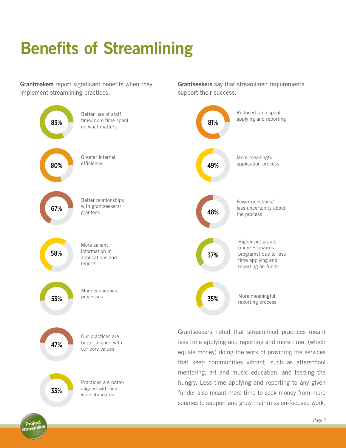# **Benefits of Streamlining**

**Grantmakers** report significant benefits when they implement streamlining practices.



**Grantseekers** say that streamlined requirements support their success.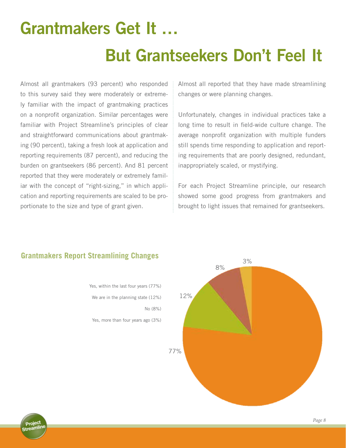# **Grantmakers Get It … But Grantseekers Don't Feel It**

Almost all grantmakers (93 percent) who responded to this survey said they were moderately or extremely familiar with the impact of grantmaking practices on a nonprofit organization. Similar percentages were familiar with Project Streamline's principles of clear and straightforward communications about grantmaking (90 percent), taking a fresh look at application and reporting requirements (87 percent), and reducing the burden on grantseekers (86 percent). And 81 percent reported that they were moderately or extremely familiar with the concept of "right-sizing," in which application and reporting requirements are scaled to be proportionate to the size and type of grant given.

Almost all reported that they have made streamlining changes or were planning changes.

Unfortunately, changes in individual practices take a long time to result in field-wide culture change. The average nonprofit organization with multiple funders still spends time responding to application and reporting requirements that are poorly designed, redundant, inappropriately scaled, or mystifying.

For each Project Streamline principle, our research showed some good progress from grantmakers and brought to light issues that remained for grantseekers.



#### **Grantmakers Report Streamlining Changes**

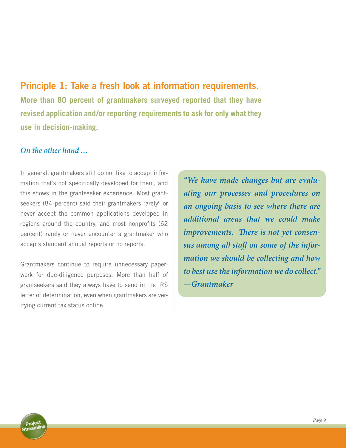**Principle 1: Take a fresh look at information requirements. More than 80 percent of grantmakers surveyed reported that they have revised application and/or reporting requirements to ask for only what they use in decision-making.**

#### *On the other hand …*

In general, grantmakers still do not like to accept information that's not specifically developed for them, and this shows in the grantseeker experience. Most grantseekers (84 percent) said their grantmakers rarely<sup>6</sup> or never accept the common applications developed in regions around the country, and most nonprofits (62 percent) rarely or never encounter a grantmaker who accepts standard annual reports or no reports.

Grantmakers continue to require unnecessary paperwork for due-diligence purposes. More than half of grantseekers said they always have to send in the IRS letter of determination, even when grantmakers are verifying current tax status online.

*"We have made changes but are evaluating our processes and procedures on an ongoing basis to see where there are additional areas that we could make improvements. There is not yet consensus among all staff on some of the information we should be collecting and how to best use the information we do collect." —Grantmaker* 

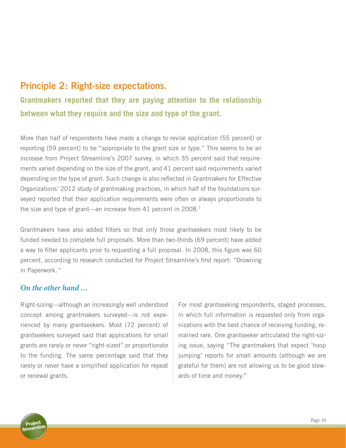## **Principle 2: Right-size expectations.**

**Grantmakers reported that they are paying attention to the relationship between what they require and the size and type of the grant.** 

More than half of respondents have made a change to revise application (55 percent) or reporting (59 percent) to be "appropriate to the grant size or type." This seems to be an increase from Project Streamline's 2007 survey, in which 35 percent said that requirements varied depending on the size of the grant, and 41 percent said requirements varied depending on the type of grant. Such change is also reflected in Grantmakers for Effective Organizations' 2012 study of grantmaking practices, in which half of the foundations surveyed reported that their application requirements were often or always proportionate to the size and type of grant—an increase from 41 percent in 2008.<sup>7</sup>

Grantmakers have also added filters so that only those grantseekers most likely to be funded needed to complete full proposals. More than two-thirds (69 percent) have added a way to filter applicants prior to requesting a full proposal. In 2008, this figure was 60 percent, according to research conducted for Project Streamline's first report: "Drowning in Paperwork*."*

#### *On the other hand …*

Right-sizing—although an increasingly well understood concept among grantmakers surveyed—is not experienced by many grantseekers. Most (72 percent) of grantseekers surveyed said that applications for small grants are rarely or never "right-sized" or proportionate to the funding. The same percentage said that they rarely or never have a simplified application for repeat or renewal grants.

For most grantseeking respondents, staged processes, in which full information is requested only from organizations with the best chance of receiving funding, remained rare. One grantseeker articulated the right-sizing issue, saying "The grantmakers that expect 'hoop jumping' reports for small amounts (although we are grateful for them) are not allowing us to be good stewards of time and money."

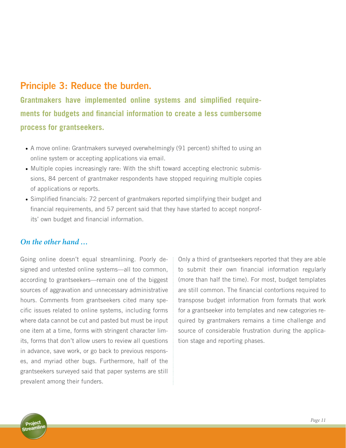### **Principle 3: Reduce the burden.**

**Grantmakers have implemented online systems and simplified requirements for budgets and financial information to create a less cumbersome process for grantseekers.** 

- A move online: Grantmakers surveyed overwhelmingly (91 percent) shifted to using an online system or accepting applications via email.
- Multiple copies increasingly rare: With the shift toward accepting electronic submissions, 84 percent of grantmaker respondents have stopped requiring multiple copies of applications or reports.
- Simplified financials: 72 percent of grantmakers reported simplifying their budget and financial requirements, and 57 percent said that they have started to accept nonprofits' own budget and financial information.

#### *On the other hand …*

Going online doesn't equal streamlining. Poorly designed and untested online systems—all too common, according to grantseekers—remain one of the biggest sources of aggravation and unnecessary administrative hours. Comments from grantseekers cited many specific issues related to online systems, including forms where data cannot be cut and pasted but must be input one item at a time, forms with stringent character limits, forms that don't allow users to review all questions in advance, save work, or go back to previous responses, and myriad other bugs. Furthermore, half of the grantseekers surveyed said that paper systems are still prevalent among their funders.

Only a third of grantseekers reported that they are able to submit their own financial information regularly (more than half the time). For most, budget templates are still common. The financial contortions required to transpose budget information from formats that work for a grantseeker into templates and new categories required by grantmakers remains a time challenge and source of considerable frustration during the application stage and reporting phases.

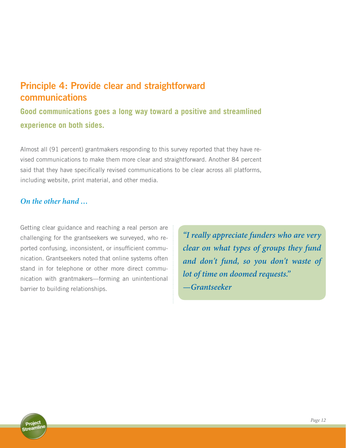## **Principle 4: Provide clear and straightforward communications**

**Good communications goes a long way toward a positive and streamlined experience on both sides.** 

Almost all (91 percent) grantmakers responding to this survey reported that they have revised communications to make them more clear and straightforward. Another 84 percent said that they have specifically revised communications to be clear across all platforms, including website, print material, and other media.

#### *On the other hand …*

Getting clear guidance and reaching a real person are challenging for the grantseekers we surveyed, who reported confusing, inconsistent, or insufficient communication. Grantseekers noted that online systems often stand in for telephone or other more direct communication with grantmakers—forming an unintentional barrier to building relationships.

*"I really appreciate funders who are very clear on what types of groups they fund and don't fund, so you don't waste of lot of time on doomed requests." —Grantseeker* 

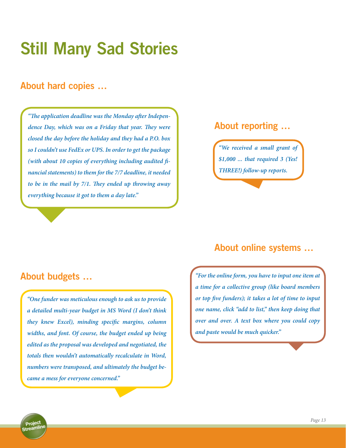# **Still Many Sad Stories**

## **About hard copies …**

*"The application deadline was the Monday after Independence Day, which was on a Friday that year. They were closed the day before the holiday and they had a P.O. box so I couldn't use FedEx or UPS. In order to get the package (with about 10 copies of everything including audited financial statements) to them for the 7/7 deadline, it needed to be in the mail by 7/1. They ended up throwing away everything because it got to them a day late."* 

### **About reporting …**

*"We received a small grant of \$1,000 ... that required 3 (Yes! THREE!) follow-up reports.*

### **About budgets …**

*"One funder was meticulous enough to ask us to provide a detailed multi-year budget in MS Word (I don't think they knew Excel), minding specific margins, column widths, and font. Of course, the budget ended up being edited as the proposal was developed and negotiated, the totals then wouldn't automatically recalculate in Word, numbers were transposed, and ultimately the budget became a mess for everyone concerned."* 

## **About online systems …**

*"For the online form, you have to input one item at a time for a collective group (like board members or top five funders); it takes a lot of time to input one name, click "add to list," then keep doing that over and over. A text box where you could copy and paste would be much quicker."*

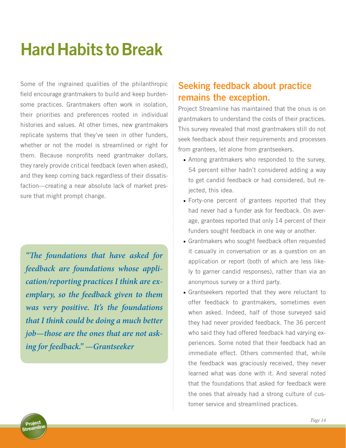# **Hard Habits to Break**

Some of the ingrained qualities of the philanthropic field encourage grantmakers to build and keep burdensome practices. Grantmakers often work in isolation, their priorities and preferences rooted in individual histories and values. At other times, new grantmakers replicate systems that they've seen in other funders, whether or not the model is streamlined or right for them. Because nonprofits need grantmaker dollars, they rarely provide critical feedback (even when asked), and they keep coming back regardless of their dissatisfaction—creating a near absolute lack of market pressure that might prompt change.

*"The foundations that have asked for feedback are foundations whose application/reporting practices I think are exemplary, so the feedback given to them was very positive. It's the foundations that I think could be doing a much better job—those are the ones that are not asking for feedback." —Grantseeker*

## **Seeking feedback about practice remains the exception.**

Project Streamline has maintained that the onus is on grantmakers to understand the costs of their practices. This survey revealed that most grantmakers still do not seek feedback about their requirements and processes from grantees, let alone from grantseekers.

- Among grantmakers who responded to the survey, 54 percent either hadn't considered adding a way to get candid feedback or had considered, but rejected, this idea.
- Forty-one percent of grantees reported that they had never had a funder ask for feedback. On average, grantees reported that only 14 percent of their funders sought feedback in one way or another.
- Grantmakers who sought feedback often requested it casually in conversation or as a question on an application or report (both of which are less likely to garner candid responses), rather than via an anonymous survey or a third party.
- Grantseekers reported that they were reluctant to offer feedback to grantmakers, sometimes even when asked. Indeed, half of those surveyed said they had never provided feedback. The 36 percent who said they had offered feedback had varying experiences. Some noted that their feedback had an immediate effect. Others commented that, while the feedback was graciously received, they never learned what was done with it. And several noted that the foundations that asked for feedback were the ones that already had a strong culture of customer service and streamlined practices.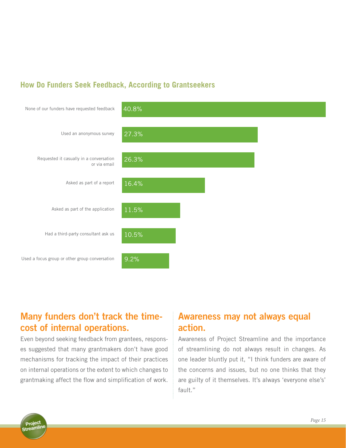### **How Do Funders Seek Feedback, According to Grantseekers**



## **Many funders don't track the timecost of internal operations.**

Even beyond seeking feedback from grantees, responses suggested that many grantmakers don't have good mechanisms for tracking the impact of their practices on internal operations or the extent to which changes to grantmaking affect the flow and simplification of work.

## **Awareness may not always equal action.**

Awareness of Project Streamline and the importance of streamlining do not always result in changes. As one leader bluntly put it, "I think funders are aware of the concerns and issues, but no one thinks that they are guilty of it themselves. It's always 'everyone else's' fault."

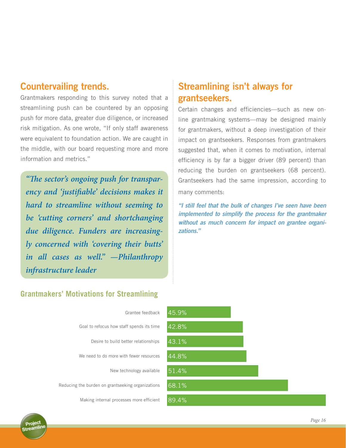### **Countervailing trends.**

Grantmakers responding to this survey noted that a streamlining push can be countered by an opposing push for more data, greater due diligence, or increased risk mitigation. As one wrote, "If only staff awareness were equivalent to foundation action. We are caught in the middle, with our board requesting more and more information and metrics."

*"The sector's ongoing push for transparency and 'justifiable' decisions makes it hard to streamline without seeming to be 'cutting corners' and shortchanging due diligence. Funders are increasingly concerned with 'covering their butts' in all cases as well." —Philanthropy infrastructure leader*

## **Streamlining isn't always for grantseekers.**

Certain changes and efficiencies—such as new online grantmaking systems—may be designed mainly for grantmakers, without a deep investigation of their impact on grantseekers. Responses from grantmakers suggested that, when it comes to motivation, internal efficiency is by far a bigger driver (89 percent) than reducing the burden on grantseekers (68 percent). Grantseekers had the same impression, according to many comments:

*"I still feel that the bulk of changes I've seen have been implemented to simplify the process for the grantmaker without as much concern for impact on grantee organizations."* 

### **Grantmakers' Motivations for Streamlining**

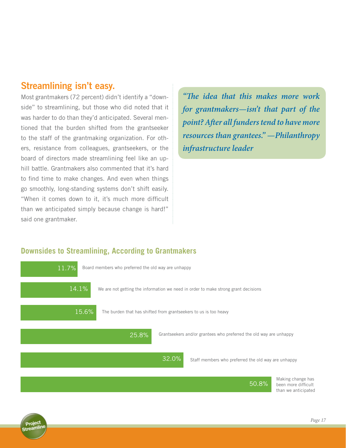### **Streamlining isn't easy.**

Most grantmakers (72 percent) didn't identify a "downside" to streamlining, but those who did noted that it was harder to do than they'd anticipated. Several mentioned that the burden shifted from the grantseeker to the staff of the grantmaking organization. For others, resistance from colleagues, grantseekers, or the board of directors made streamlining feel like an uphill battle. Grantmakers also commented that it's hard to find time to make changes. And even when things go smoothly, long-standing systems don't shift easily. "When it comes down to it, it's much more difficult than we anticipated simply because change is hard!" said one grantmaker.

*"The idea that this makes more work for grantmakers—isn't that part of the point? After all funders tend to have more resources than grantees." —Philanthropy infrastructure leader*

#### **Downsides to Streamlining, According to Grantmakers**

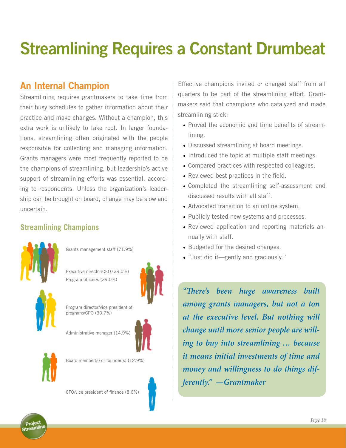# **Streamlining Requires a Constant Drumbeat**

## **An Internal Champion**

Streamlining requires grantmakers to take time from their busy schedules to gather information about their practice and make changes. Without a champion, this extra work is unlikely to take root. In larger foundations, streamlining often originated with the people responsible for collecting and managing information. Grants managers were most frequently reported to be the champions of streamlining, but leadership's active support of streamlining efforts was essential, according to respondents. Unless the organization's leadership can be brought on board, change may be slow and uncertain.

### **Streamlining Champions**



Grants management staff (71.9%)







Program director/vice president of programs/CPO (30.7%)

Administrative manager (14.9%)





Board member(s) or founder(s) (12.9%)

CFO/vice president of finance (8.6%)

Effective champions invited or charged staff from all quarters to be part of the streamlining effort. Grantmakers said that champions who catalyzed and made streamlining stick:

- Proved the economic and time benefits of streamlining.
- Discussed streamlining at board meetings.
- Introduced the topic at multiple staff meetings.
- Compared practices with respected colleagues.
- Reviewed best practices in the field.
- • Completed the streamlining self-assessment and discussed results with all staff.
- Advocated transition to an online system.
- Publicly tested new systems and processes.
- Reviewed application and reporting materials annually with staff.
- Budgeted for the desired changes.
- "Just did it—gently and graciously."

*"There's been huge awareness built among grants managers, but not a ton at the executive level. But nothing will change until more senior people are willing to buy into streamlining … because it means initial investments of time and money and willingness to do things differently." —Grantmaker*

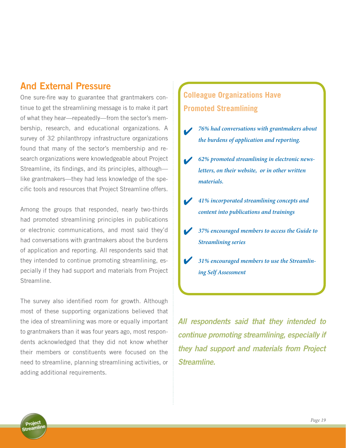### **And External Pressure**

One sure-fire way to guarantee that grantmakers continue to get the streamlining message is to make it part of what they hear—repeatedly—from the sector's membership, research, and educational organizations. A survey of 32 philanthropy infrastructure organizations found that many of the sector's membership and research organizations were knowledgeable about Project Streamline, its findings, and its principles, although like grantmakers—they had less knowledge of the specific tools and resources that Project Streamline offers.

Among the groups that responded, nearly two-thirds had promoted streamlining principles in publications or electronic communications, and most said they'd had conversations with grantmakers about the burdens of application and reporting. All respondents said that they intended to continue promoting streamlining, especially if they had support and materials from Project Streamline.

The survey also identified room for growth. Although most of these supporting organizations believed that the idea of streamlining was more or equally important to grantmakers than it was four years ago, most respondents acknowledged that they did not know whether their members or constituents were focused on the need to streamline, planning streamlining activities, or adding additional requirements.

## **Colleague Organizations Have Promoted Streamlining**

- *76% had conversations with grantmakers about the burdens of application and reporting.*  $\sqrt{ }$
- *62% promoted streamlining in electronic newsletters, on their website, or in other written materials.*  $\overline{\mathbf{v}}$
- *41% incorporated streamlining concepts and content into publications and trainings* 4
- *37% encouraged members to access the Guide to Streamlining series*  $\blacktriangledown$
- *31% encouraged members to use the Streamlining Self Assessment*  $\overline{\mathbf{v}}$

*All respondents said that they intended to continue promoting streamlining, especially if they had support and materials from Project Streamline.*

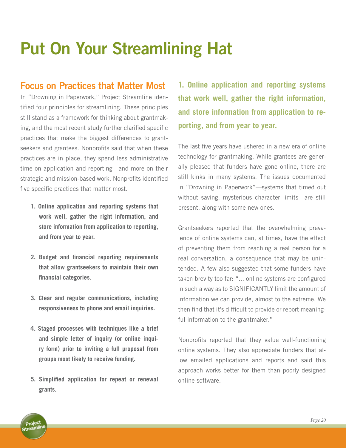# **Put On Your Streamlining Hat**

## **Focus on Practices that Matter Most**

In "Drowning in Paperwork," Project Streamline identified four principles for streamlining. These principles still stand as a framework for thinking about grantmaking, and the most recent study further clarified specific practices that make the biggest differences to grantseekers and grantees. Nonprofits said that when these practices are in place, they spend less administrative time on application and reporting—and more on their strategic and mission-based work. Nonprofits identified five specific practices that matter most.

- **1. Online application and reporting systems that work well, gather the right information, and store information from application to reporting, and from year to year.**
- **2. Budget and financial reporting requirements that allow grantseekers to maintain their own financial categories.**
- **3. Clear and regular communications, including responsiveness to phone and email inquiries.**
- **4. Staged processes with techniques like a brief and simple letter of inquiry (or online inquiry form) prior to inviting a full proposal from groups most likely to receive funding.**
- **5. Simplified application for repeat or renewal grants.**

**1. Online application and reporting systems that work well, gather the right information, and store information from application to reporting, and from year to year.** 

The last five years have ushered in a new era of online technology for grantmaking. While grantees are generally pleased that funders have gone online, there are still kinks in many systems. The issues documented in "Drowning in Paperwork"—systems that timed out without saving, mysterious character limits—are still present, along with some new ones.

Grantseekers reported that the overwhelming prevalence of online systems can, at times, have the effect of preventing them from reaching a real person for a real conversation, a consequence that may be unintended. A few also suggested that some funders have taken brevity too far: "... online systems are configured in such a way as to SIGNIFICANTLY limit the amount of information we can provide, almost to the extreme. We then find that it's difficult to provide or report meaningful information to the grantmaker."

Nonprofits reported that they value well-functioning online systems. They also appreciate funders that allow emailed applications and reports and said this approach works better for them than poorly designed online software.

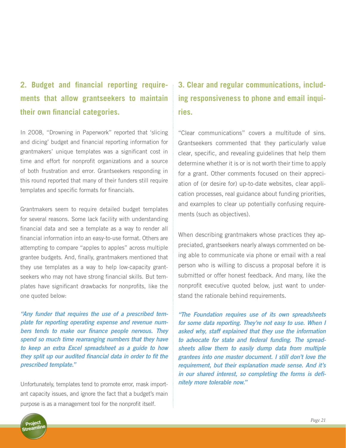## **2. Budget and financial reporting requirements that allow grantseekers to maintain their own financial categories.**

In 2008, "Drowning in Paperwork" reported that 'slicing and dicing' budget and financial reporting information for grantmakers' unique templates was a significant cost in time and effort for nonprofit organizations and a source of both frustration and error. Grantseekers responding in this round reported that many of their funders still require templates and specific formats for financials.

Grantmakers seem to require detailed budget templates for several reasons. Some lack facility with understanding financial data and see a template as a way to render all financial information into an easy-to-use format. Others are attempting to compare "apples to apples" across multiple grantee budgets. And, finally, grantmakers mentioned that they use templates as a way to help low-capacity grantseekers who may not have strong financial skills. But templates have significant drawbacks for nonprofits, like the one quoted below:

*"Any funder that requires the use of a prescribed template for reporting operating expense and revenue numbers tends to make our finance people nervous. They spend so much time rearranging numbers that they have to keep an extra Excel spreadsheet as a guide to how they split up our audited financial data in order to fit the prescribed template."*

Unfortunately, templates tend to promote error, mask important capacity issues, and ignore the fact that a budget's main purpose is as a management tool for the nonprofit itself.

## **3. Clear and regular communications, including responsiveness to phone and email inquiries.**

"Clear communications" covers a multitude of sins. Grantseekers commented that they particularly value clear, specific, and revealing guidelines that help them determine whether it is or is not worth their time to apply for a grant. Other comments focused on their appreciation of (or desire for) up-to-date websites, clear application processes, real guidance about funding priorities, and examples to clear up potentially confusing requirements (such as objectives).

When describing grantmakers whose practices they appreciated, grantseekers nearly always commented on being able to communicate via phone or email with a real person who is willing to discuss a proposal before it is submitted or offer honest feedback. And many, like the nonprofit executive quoted below, just want to understand the rationale behind requirements.

*"The Foundation requires use of its own spreadsheets for some data reporting. They're not easy to use. When I asked why, staff explained that they use the information to advocate for state and federal funding. The spreadsheets allow them to easily dump data from multiple grantees into one master document. I still don't love the requirement, but their explanation made sense. And it's in our shared interest, so completing the forms is definitely more tolerable now."*

Project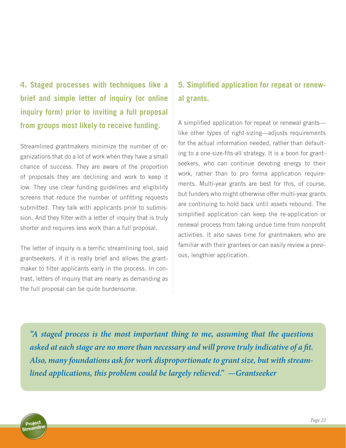**4. Staged processes with techniques like a brief and simple letter of inquiry (or online inquiry form) prior to inviting a full proposal from groups most likely to receive funding.**

Streamlined grantmakers minimize the number of organizations that do a lot of work when they have a small chance of success. They are aware of the proportion of proposals they are declining and work to keep it low. They use clear funding guidelines and eligibility screens that reduce the number of unfitting requests submitted. They talk with applicants prior to submission. And they filter with a letter of inquiry that is truly shorter and requires less work than a full proposal.

The letter of inquiry is a terrific streamlining tool, said grantseekers, if it is really brief and allows the grantmaker to filter applicants early in the process. In contrast, letters of inquiry that are nearly as demanding as the full proposal can be quite burdensome.

## **5. Simplified application for repeat or renewal grants.**

A simplified application for repeat or renewal grants like other types of right-sizing—adjusts requirements for the actual information needed, rather than defaulting to a one-size-fits-all strategy. It is a boon for grantseekers, who can continue devoting energy to their work, rather than to pro forma application requirements. Multi-year grants are best for this, of course, but funders who might otherwise offer multi-year grants are continuing to hold back until assets rebound. The simplified application can keep the re-application or renewal process from taking undue time from nonprofit activities. It also saves time for grantmakers who are familiar with their grantees or can easily review a previous, lengthier application.

*"A staged process is the most important thing to me, assuming that the questions asked at each stage are no more than necessary and will prove truly indicative of a fit. Also, many foundations ask for work disproportionate to grant size, but with streamlined applications, this problem could be largely relieved." —Grantseeker*

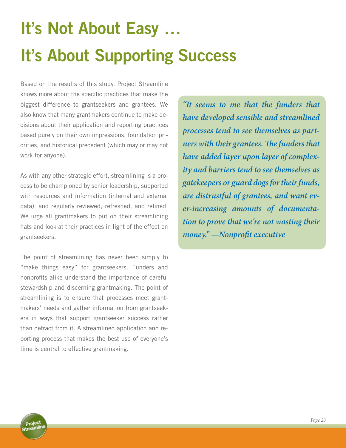# **It's Not About Easy … It's About Supporting Success**

Based on the results of this study, Project Streamline knows more about the specific practices that make the biggest difference to grantseekers and grantees. We also know that many grantmakers continue to make decisions about their application and reporting practices based purely on their own impressions, foundation priorities, and historical precedent (which may or may not work for anyone).

As with any other strategic effort, streamlining is a process to be championed by senior leadership, supported with resources and information (internal and external data), and regularly reviewed, refreshed, and refined. We urge all grantmakers to put on their streamlining hats and look at their practices in light of the effect on grantseekers.

The point of streamlining has never been simply to "make things easy" for grantseekers. Funders and nonprofits alike understand the importance of careful stewardship and discerning grantmaking. The point of streamlining is to ensure that processes meet grantmakers' needs and gather information from grantseekers in ways that support grantseeker success rather than detract from it. A streamlined application and reporting process that makes the best use of everyone's time is central to effective grantmaking.

*"It seems to me that the funders that have developed sensible and streamlined processes tend to see themselves as partners with their grantees. The funders that have added layer upon layer of complexity and barriers tend to see themselves as gatekeepers or guard dogs for their funds, are distrustful of grantees, and want ever-increasing amounts of documentation to prove that we're not wasting their money." —Nonprofit executive*

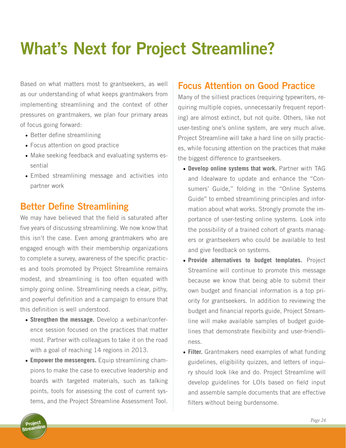# **What's Next for Project Streamline?**

Based on what matters most to grantseekers, as well as our understanding of what keeps grantmakers from implementing streamlining and the context of other pressures on grantmakers, we plan four primary areas of focus going forward:

- Better define streamlining
- Focus attention on good practice
- Make seeking feedback and evaluating systems essential
- Embed streamlining message and activities into partner work

### **Better Define Streamlining**

We may have believed that the field is saturated after five years of discussing streamlining. We now know that this isn't the case. Even among grantmakers who are engaged enough with their membership organizations to complete a survey, awareness of the specific practices and tools promoted by Project Streamline remains modest, and streamlining is too often equated with simply going online. Streamlining needs a clear, pithy, and powerful definition and a campaign to ensure that this definition is well understood.

- **Strengthen the message.** Develop a webinar/conference session focused on the practices that matter most. Partner with colleagues to take it on the road with a goal of reaching 14 regions in 2013.
- **• Empower the messengers.** Equip streamlining champions to make the case to executive leadership and boards with targeted materials, such as talking points, tools for assessing the cost of current systems, and the Project Streamline Assessment Tool.

### **Focus Attention on Good Practice**

Many of the silliest practices (requiring typewriters, requiring multiple copies, unnecessarily frequent reporting) are almost extinct, but not quite. Others, like not user-testing one's online system, are very much alive. Project Streamline will take a hard line on silly practices, while focusing attention on the practices that make the biggest difference to grantseekers.

- **• Develop online systems that work.** Partner with TAG and Idealware to update and enhance the "Consumers' Guide," folding in the "Online Systems Guide" to embed streamlining principles and information about what works. Strongly promote the importance of user-testing online systems. Look into the possibility of a trained cohort of grants managers or grantseekers who could be available to test and give feedback on systems.
- **• Provide alternatives to budget templates.** Project Streamline will continue to promote this message because we know that being able to submit their own budget and financial information is a top priority for grantseekers. In addition to reviewing the budget and financial reports guide, Project Streamline will make available samples of budget guidelines that demonstrate flexibility and user-friendliness.
- **• Filter.** Grantmakers need examples of what funding guidelines, eligibility quizzes, and letters of inquiry should look like and do. Project Streamline will develop guidelines for LOIs based on field input and assemble sample documents that are effective filters without being burdensome.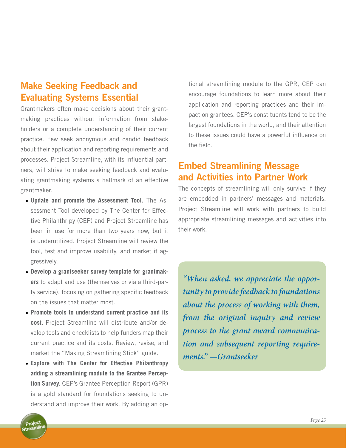## **Make Seeking Feedback and Evaluating Systems Essential**

Grantmakers often make decisions about their grantmaking practices without information from stakeholders or a complete understanding of their current practice. Few seek anonymous and candid feedback about their application and reporting requirements and processes. Project Streamline, with its influential partners, will strive to make seeking feedback and evaluating grantmaking systems a hallmark of an effective grantmaker.

- **• Update and promote the Assessment Tool.** The Assessment Tool developed by The Center for Effective Philanthripy (CEP) and Project Streamline has been in use for more than two years now, but it is underutilized. Project Streamline will review the tool, test and improve usability, and market it aggressively.
- **• Develop a grantseeker survey template for grantmakers** to adapt and use (themselves or via a third-party service), focusing on gathering specific feedback on the issues that matter most.
- **• Promote tools to understand current practice and its cost.** Project Streamline will distribute and/or develop tools and checklists to help funders map their current practice and its costs. Review, revise, and market the "Making Streamlining Stick" guide.
- **• Explore with The Center for Effective Philanthropy adding a streamlining module to the Grantee Perception Survey.** CEP's Grantee Perception Report (GPR) is a gold standard for foundations seeking to understand and improve their work. By adding an op-

tional streamlining module to the GPR, CEP can encourage foundations to learn more about their application and reporting practices and their impact on grantees. CEP's constituents tend to be the largest foundations in the world, and their attention to these issues could have a powerful influence on the field.

## **Embed Streamlining Message and Activities into Partner Work**

The concepts of streamlining will only survive if they are embedded in partners' messages and materials. Project Streamline will work with partners to build appropriate streamlining messages and activities into their work.

*"When asked, we appreciate the opportunity to provide feedback to foundations about the process of working with them, from the original inquiry and review process to the grant award communication and subsequent reporting requirements." —Grantseeker*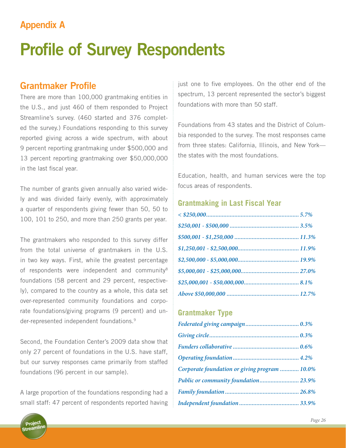## **Appendix A**

# **Profile of Survey Respondents**

### **Grantmaker Profile**

There are more than 100,000 grantmaking entities in the U.S., and just 460 of them responded to Project Streamline's survey. (460 started and 376 completed the survey.) Foundations responding to this survey reported giving across a wide spectrum, with about 9 percent reporting grantmaking under \$500,000 and 13 percent reporting grantmaking over \$50,000,000 in the last fiscal year.

The number of grants given annually also varied widely and was divided fairly evenly, with approximately a quarter of respondents giving fewer than 50, 50 to 100, 101 to 250, and more than 250 grants per year.

The grantmakers who responded to this survey differ from the total universe of grantmakers in the U.S. in two key ways. First, while the greatest percentage of respondents were independent and community<sup>8</sup> foundations (58 percent and 29 percent, respectively), compared to the country as a whole, this data set over-represented community foundations and corporate foundations/giving programs (9 percent) and under-represented independent foundations.<sup>9</sup>

Second, the Foundation Center's 2009 data show that only 27 percent of foundations in the U.S. have staff, but our survey responses came primarily from staffed foundations (96 percent in our sample).

A large proportion of the foundations responding had a small staff: 47 percent of respondents reported having just one to five employees. On the other end of the spectrum, 13 percent represented the sector's biggest foundations with more than 50 staff.

Foundations from 43 states and the District of Columbia responded to the survey. The most responses came from three states: California, Illinois, and New York the states with the most foundations.

Education, health, and human services were the top focus areas of respondents.

#### **Grantmaking in Last Fiscal Year**

#### **Grantmaker Type**

| Corporate foundation or giving program  10.0% |  |
|-----------------------------------------------|--|
| Public or community foundation 23.9%          |  |
|                                               |  |
|                                               |  |

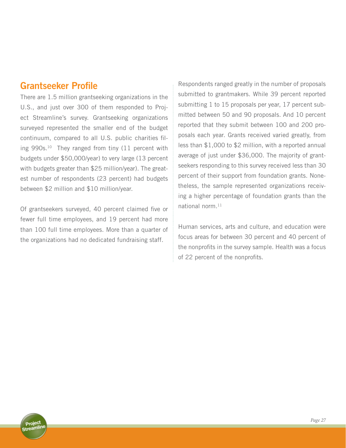### **Grantseeker Profile**

There are 1.5 million grantseeking organizations in the U.S., and just over 300 of them responded to Project Streamline's survey. Grantseeking organizations surveyed represented the smaller end of the budget continuum, compared to all U.S. public charities filing 990s.<sup>10</sup> They ranged from tiny (11 percent with budgets under \$50,000/year) to very large (13 percent with budgets greater than \$25 million/year). The greatest number of respondents (23 percent) had budgets between \$2 million and \$10 million/year.

Of grantseekers surveyed, 40 percent claimed five or fewer full time employees, and 19 percent had more than 100 full time employees. More than a quarter of the organizations had no dedicated fundraising staff.

Respondents ranged greatly in the number of proposals submitted to grantmakers. While 39 percent reported submitting 1 to 15 proposals per year, 17 percent submitted between 50 and 90 proposals. And 10 percent reported that they submit between 100 and 200 proposals each year. Grants received varied greatly, from less than \$1,000 to \$2 million, with a reported annual average of just under \$36,000. The majority of grantseekers responding to this survey received less than 30 percent of their support from foundation grants. Nonetheless, the sample represented organizations receiving a higher percentage of foundation grants than the national norm.<sup>11</sup>

Human services, arts and culture, and education were focus areas for between 30 percent and 40 percent of the nonprofits in the survey sample. Health was a focus of 22 percent of the nonprofits.

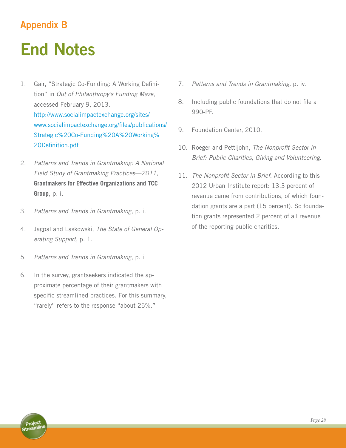## **Appendix B**

# **End Notes**

- 1. Gair, "Strategic Co-Funding: A Working Definition" in *Out of Philanthropy's Funding Maze*, accessed February 9, 2013. http://www.socialimpactexchange.org/sites/ www.socialimpactexchange.org/files/publications/ Strategic%20Co-Funding%20A%20Working% 20Definition.pdf
- 2. *Patterns and Trends in Grantmaking: A National Field Study of Grantmaking Practices—2011*, **Grantmakers for Effective Organizations and TCC Group**, p. i.
- 3. *Patterns and Trends in Grantmaking*, p. i.
- 4. Jagpal and Laskowski, *The State of General Operating Support*, p. 1.
- 5. *Patterns and Trends in Grantmaking*, p. ii
- 6. In the survey, grantseekers indicated the approximate percentage of their grantmakers with specific streamlined practices. For this summary, "rarely" refers to the response "about 25%."
- 7. *Patterns and Trends in Grantmaking,* p. iv.
- 8. Including public foundations that do not file a 990-PF.
- 9. Foundation Center, 2010.
- 10. Roeger and Pettijohn, *The Nonprofit Sector in Brief: Public Charities, Giving and Volunteering*.
- 11. *The Nonprofit Sector in Brief*. According to this 2012 Urban Institute report: 13.3 percent of revenue came from contributions, of which foundation grants are a part (15 percent). So foundation grants represented 2 percent of all revenue of the reporting public charities.

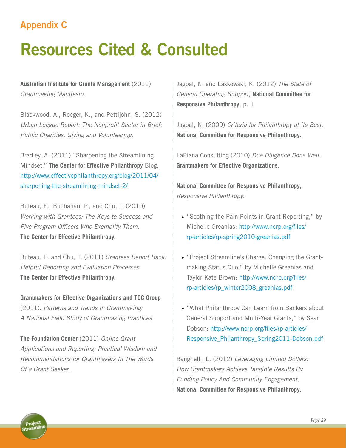## **Appendix C**

# **Resources Cited & Consulted**

**Australian Institute for Grants Management** (2011) *Grantmaking Manifesto*.

Blackwood, A., Roeger, K., and Pettijohn, S. (2012) *Urban League Report: The Nonprofit Sector in Brief: Public Charities, Giving and Volunteering*.

Bradley, A. (2011) "Sharpening the Streamlining Mindset," **The Center for Effective Philanthropy** Blog, http://www.effectivephilanthropy.org/blog/2011/04/ sharpening-the-streamlining-mindset-2/

Buteau, E., Buchanan, P., and Chu, T. (2010) *Working with Grantees: The Keys to Success and Five Program Officers Who Exemplify Them*. **The Center for Effective Philanthropy.**

Buteau, E. and Chu, T. (2011) *Grantees Report Back: Helpful Reporting and Evaluation Processes.* **The Center for Effective Philanthropy.**

**Grantmakers for Effective Organizations and TCC Group** (2011). *Patterns and Trends in Grantmaking: A National Field Study of Grantmaking Practices.* 

**The Foundation Center** (2011) *Online Grant Applications and Reporting: Practical Wisdom and Recommendations for Grantmakers In The Words Of a Grant Seeker.*

Jagpal, N. and Laskowski, K. (2012) *The State of General Operating Support,* **National Committee for Responsive Philanthropy**, p. 1.

Jagpal, N. (2009) *Criteria for Philanthropy at its Best*. **National Committee for Responsive Philanthropy**.

LaPiana Consulting (2010) *Due Diligence Done Well*. **Grantmakers for Effective Organizations**.

**National Committee for Responsive Philanthropy**, *Responsive Philanthropy*:

- "Soothing the Pain Points in Grant Reporting," by Michelle Greanias: http://www.ncrp.org/files/ rp-articles/rp-spring2010-greanias.pdf
- "Project Streamline's Charge: Changing the Grantmaking Status Quo," by Michelle Greanias and Taylor Kate Brown: http://www.ncrp.org/files/ rp-articles/rp\_winter2008\_greanias.pdf
- "What Philanthropy Can Learn from Bankers about General Support and Multi-Year Grants," by Sean Dobson: http://www.ncrp.org/files/rp-articles/ Responsive\_Philanthropy\_Spring2011-Dobson.pdf

Ranghelli, L. (2012) *Leveraging Limited Dollars: How Grantmakers Achieve Tangible Results By Funding Policy And Community Engagement,*  **National Committee for Responsive Philanthropy.**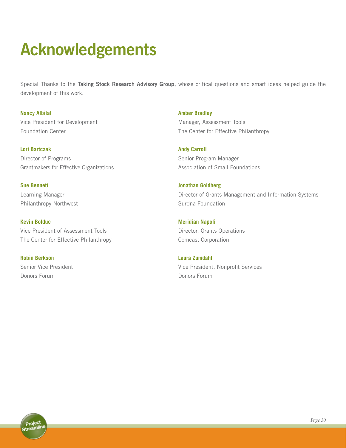# **Acknowledgements**

Special Thanks to the **Taking Stock Research Advisory Group,** whose critical questions and smart ideas helped guide the development of this work.

**Nancy Albilal**  Vice President for Development Foundation Center

**Lori Bartczak** Director of Programs Grantmakers for Effective Organizations

**Sue Bennett** Learning Manager Philanthropy Northwest

**Kevin Bolduc** Vice President of Assessment Tools The Center for Effective Philanthropy

**Robin Berkson** Senior Vice President Donors Forum

**Amber Bradley** Manager, Assessment Tools The Center for Effective Philanthropy

**Andy Carroll** Senior Program Manager Association of Small Foundations

**Jonathan Goldberg** Director of Grants Management and Information Systems Surdna Foundation

**Meridian Napoli** Director, Grants Operations Comcast Corporation

**Laura Zumdahl** Vice President, Nonprofit Services Donors Forum